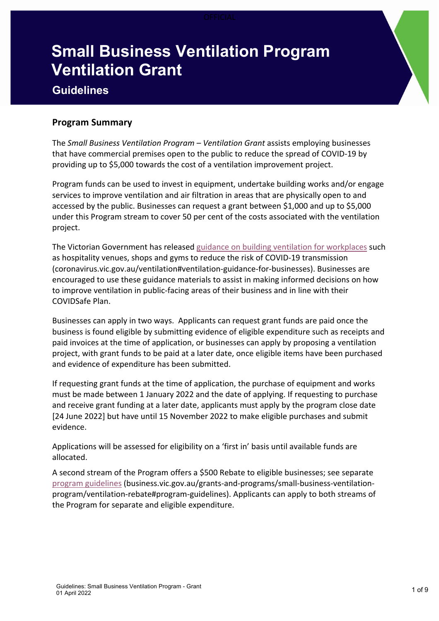# **Small Business Ventilation Program Ventilation Grant**

# **Guidelines**

# **Program Summary**

The *Small Business Ventilation Program – Ventilation Grant* assists employing businesses that have commercial premises open to the public to reduce the spread of COVID-19 by providing up to \$5,000 towards the cost of a ventilation improvement project.

Program funds can be used to invest in equipment, undertake building works and/or engage services to improve ventilation and air filtration in areas that are physically open to and accessed by the public. Businesses can request a grant between \$1,000 and up to \$5,000 under this Program stream to cover 50 per cent of the costs associated with the ventilation project.

The Victorian Government has released guidance on building ventilation for workplaces such as hospitality venues, shops and gyms to reduce the risk of COVID-19 transmission (coronavirus.vic.gov.au/ventilation#ventilation-guidance-for-businesses). Businesses are encouraged to use these guidance materials to assist in making informed decisions on how to improve ventilation in public-facing areas of their business and in line with their COVIDSafe Plan.

Businesses can apply in two ways. Applicants can request grant funds are paid once the business is found eligible by submitting evidence of eligible expenditure such as receipts and paid invoices at the time of application, or businesses can apply by proposing a ventilation project, with grant funds to be paid at a later date, once eligible items have been purchased and evidence of expenditure has been submitted.

If requesting grant funds at the time of application, the purchase of equipment and works must be made between 1 January 2022 and the date of applying. If requesting to purchase and receive grant funding at a later date, applicants must apply by the program close date [24 June 2022] but have until 15 November 2022 to make eligible purchases and submit evidence.

Applications will be assessed for eligibility on a 'first in' basis until available funds are allocated.

A second stream of the Program offers a \$500 Rebate to eligible businesses; see separate program guidelines (business.vic.gov.au/grants-and-programs/small-business-ventilationprogram/ventilation-rebate#program-guidelines). Applicants can apply to both streams of the Program for separate and eligible expenditure.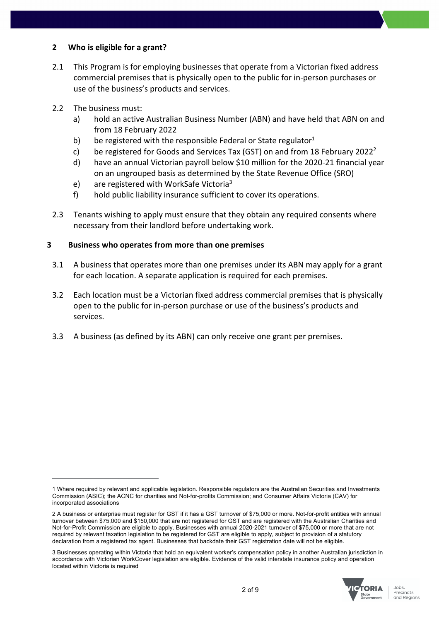#### **2 Who is eligible for a grant?**

- 2.1 This Program is for employing businesses that operate from a Victorian fixed address commercial premises that is physically open to the public for in-person purchases or use of the business's products and services.
- 2.2 The business must:
	- a) hold an active Australian Business Number (ABN) and have held that ABN on and from 18 February 2022
	- b) be registered with the responsible Federal or State regulator $1$
	- c) be registered for Goods and Services Tax (GST) on and from 18 February 2022<sup>2</sup>
	- d) have an annual Victorian payroll below \$10 million for the 2020-21 financial year on an ungrouped basis as determined by the State Revenue Office (SRO)
	- e) are registered with WorkSafe Victoria<sup>3</sup>
	- f) hold public liability insurance sufficient to cover its operations.
- 2.3 Tenants wishing to apply must ensure that they obtain any required consents where necessary from their landlord before undertaking work.

#### **3 Business who operates from more than one premises**

- 3.1 A business that operates more than one premises under its ABN may apply for a grant for each location. A separate application is required for each premises.
- 3.2 Each location must be a Victorian fixed address commercial premises that is physically open to the public for in-person purchase or use of the business's products and services.
- 3.3 A business (as defined by its ABN) can only receive one grant per premises.

<sup>3</sup> Businesses operating within Victoria that hold an equivalent worker's compensation policy in another Australian jurisdiction in accordance with Victorian WorkCover legislation are eligible. Evidence of the valid interstate insurance policy and operation located within Victoria is required



<sup>1</sup> Where required by relevant and applicable legislation. Responsible regulators are the Australian Securities and Investments Commission (ASIC); the ACNC for charities and Not-for-profits Commission; and Consumer Affairs Victoria (CAV) for incorporated associations

<sup>2</sup> A business or enterprise must register for GST if it has a GST turnover of \$75,000 or more. Not-for-profit entities with annual turnover between \$75,000 and \$150,000 that are not registered for GST and are registered with the Australian Charities and Not-for-Profit Commission are eligible to apply. Businesses with annual 2020-2021 turnover of \$75,000 or more that are not required by relevant taxation legislation to be registered for GST are eligible to apply, subject to provision of a statutory declaration from a registered tax agent. Businesses that backdate their GST registration date will not be eligible.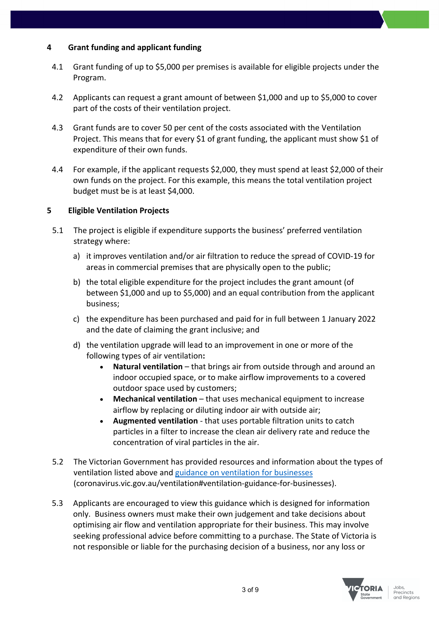# **4 Grant funding and applicant funding**

- 4.1 Grant funding of up to \$5,000 per premises is available for eligible projects under the Program.
- 4.2 Applicants can request a grant amount of between \$1,000 and up to \$5,000 to cover part of the costs of their ventilation project.
- 4.3 Grant funds are to cover 50 per cent of the costs associated with the Ventilation Project. This means that for every \$1 of grant funding, the applicant must show \$1 of expenditure of their own funds.
- 4.4 For example, if the applicant requests \$2,000, they must spend at least \$2,000 of their own funds on the project. For this example, this means the total ventilation project budget must be is at least \$4,000.

# **5 Eligible Ventilation Projects**

- 5.1 The project is eligible if expenditure supports the business' preferred ventilation strategy where:
	- a) it improves ventilation and/or air filtration to reduce the spread of COVID-19 for areas in commercial premises that are physically open to the public;
	- b) the total eligible expenditure for the project includes the grant amount (of between \$1,000 and up to \$5,000) and an equal contribution from the applicant business;
	- c) the expenditure has been purchased and paid for in full between 1 January 2022 and the date of claiming the grant inclusive; and
	- d) the ventilation upgrade will lead to an improvement in one or more of the following types of air ventilation**:**
		- **Natural ventilation** that brings air from outside through and around an indoor occupied space, or to make airflow improvements to a covered outdoor space used by customers;
		- **Mechanical ventilation** that uses mechanical equipment to increase airflow by replacing or diluting indoor air with outside air;
		- **Augmented ventilation** that uses portable filtration units to catch particles in a filter to increase the clean air delivery rate and reduce the concentration of viral particles in the air.
- 5.2 The Victorian Government has provided resources and information about the types of ventilation listed above and guidance on ventilation for businesses (coronavirus.vic.gov.au/ventilation#ventilation-guidance-for-businesses).
- 5.3 Applicants are encouraged to view this guidance which is designed for information only. Business owners must make their own judgement and take decisions about optimising air flow and ventilation appropriate for their business. This may involve seeking professional advice before committing to a purchase. The State of Victoria is not responsible or liable for the purchasing decision of a business, nor any loss or

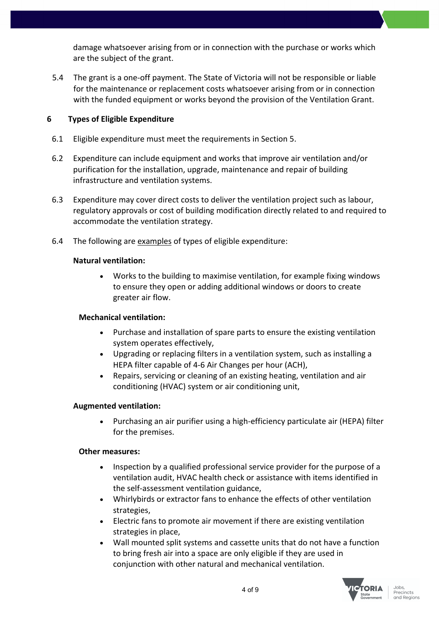damage whatsoever arising from or in connection with the purchase or works which are the subject of the grant.

5.4 The grant is a one-off payment. The State of Victoria will not be responsible or liable for the maintenance or replacement costs whatsoever arising from or in connection with the funded equipment or works beyond the provision of the Ventilation Grant.

# **6 Types of Eligible Expenditure**

- 6.1 Eligible expenditure must meet the requirements in Section 5.
- 6.2 Expenditure can include equipment and works that improve air ventilation and/or purification for the installation, upgrade, maintenance and repair of building infrastructure and ventilation systems.
- 6.3 Expenditure may cover direct costs to deliver the ventilation project such as labour, regulatory approvals or cost of building modification directly related to and required to accommodate the ventilation strategy.
- 6.4 The following are examples of types of eligible expenditure:

#### **Natural ventilation:**

• Works to the building to maximise ventilation, for example fixing windows to ensure they open or adding additional windows or doors to create greater air flow.

# **Mechanical ventilation:**

- Purchase and installation of spare parts to ensure the existing ventilation system operates effectively,
- Upgrading or replacing filters in a ventilation system, such as installing a HEPA filter capable of 4-6 Air Changes per hour (ACH),
- Repairs, servicing or cleaning of an existing heating, ventilation and air conditioning (HVAC) system or air conditioning unit,

# **Augmented ventilation:**

• Purchasing an air purifier using a high-efficiency particulate air (HEPA) filter for the premises.

#### **Other measures:**

- Inspection by a qualified professional service provider for the purpose of a ventilation audit, HVAC health check or assistance with items identified in the self-assessment ventilation guidance,
- Whirlybirds or extractor fans to enhance the effects of other ventilation strategies,
- Electric fans to promote air movement if there are existing ventilation strategies in place,
- Wall mounted split systems and cassette units that do not have a function to bring fresh air into a space are only eligible if they are used in conjunction with other natural and mechanical ventilation.

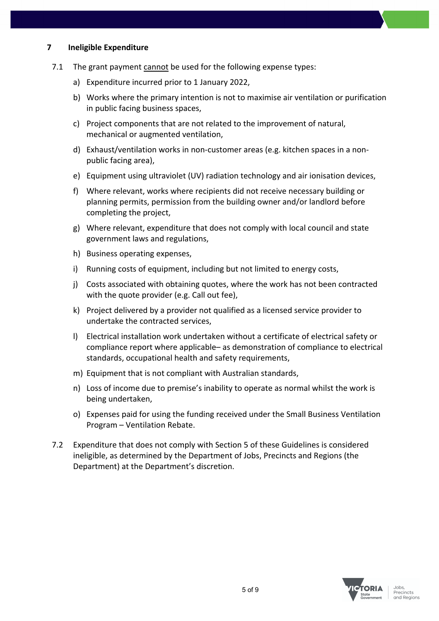#### **7 Ineligible Expenditure**

- 7.1 The grant payment cannot be used for the following expense types:
	- a) Expenditure incurred prior to 1 January 2022,
	- b) Works where the primary intention is not to maximise air ventilation or purification in public facing business spaces,
	- c) Project components that are not related to the improvement of natural, mechanical or augmented ventilation,
	- d) Exhaust/ventilation works in non-customer areas (e.g. kitchen spaces in a nonpublic facing area),
	- e) Equipment using ultraviolet (UV) radiation technology and air ionisation devices,
	- f) Where relevant, works where recipients did not receive necessary building or planning permits, permission from the building owner and/or landlord before completing the project,
	- g) Where relevant, expenditure that does not comply with local council and state government laws and regulations,
	- h) Business operating expenses,
	- i) Running costs of equipment, including but not limited to energy costs,
	- j) Costs associated with obtaining quotes, where the work has not been contracted with the quote provider (e.g. Call out fee),
	- k) Project delivered by a provider not qualified as a licensed service provider to undertake the contracted services,
	- l) Electrical installation work undertaken without a certificate of electrical safety or compliance report where applicable– as demonstration of compliance to electrical standards, occupational health and safety requirements,
	- m) Equipment that is not compliant with Australian standards,
	- n) Loss of income due to premise's inability to operate as normal whilst the work is being undertaken,
	- o) Expenses paid for using the funding received under the Small Business Ventilation Program – Ventilation Rebate.
- 7.2 Expenditure that does not comply with Section 5 of these Guidelines is considered ineligible, as determined by the Department of Jobs, Precincts and Regions (the Department) at the Department's discretion.

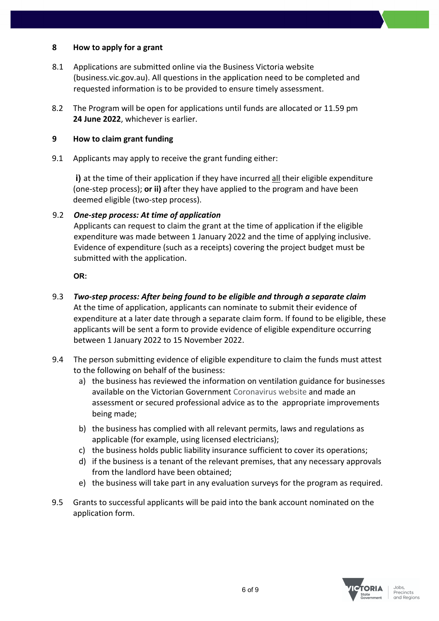#### **8 How to apply for a grant**

- 8.1 Applications are submitted online via the Business Victoria website (business.vic.gov.au). All questions in the application need to be completed and requested information is to be provided to ensure timely assessment.
- 8.2 The Program will be open for applications until funds are allocated or 11.59 pm **24 June 2022**, whichever is earlier.

#### **9 How to claim grant funding**

9.1 Applicants may apply to receive the grant funding either:

**i)** at the time of their application if they have incurred all their eligible expenditure (one-step process); **or ii)** after they have applied to the program and have been deemed eligible (two-step process).

# 9.2 *One-step process: At time of application*

Applicants can request to claim the grant at the time of application if the eligible expenditure was made between 1 January 2022 and the time of applying inclusive. Evidence of expenditure (such as a receipts) covering the project budget must be submitted with the application.

**OR:**

- 9.3 *Two-step process: After being found to be eligible and through a separate claim* At the time of application, applicants can nominate to submit their evidence of expenditure at a later date through a separate claim form. If found to be eligible, these applicants will be sent a form to provide evidence of eligible expenditure occurring between 1 January 2022 to 15 November 2022.
- 9.4 The person submitting evidence of eligible expenditure to claim the funds must attest to the following on behalf of the business:
	- a) the business has reviewed the information on ventilation guidance for businesses available on the Victorian Government Coronavirus website and made an assessment or secured professional advice as to the appropriate improvements being made;
	- b) the business has complied with all relevant permits, laws and regulations as applicable (for example, using licensed electricians);
	- c) the business holds public liability insurance sufficient to cover its operations;
	- d) if the business is a tenant of the relevant premises, that any necessary approvals from the landlord have been obtained;
	- e) the business will take part in any evaluation surveys for the program as required.
- 9.5 Grants to successful applicants will be paid into the bank account nominated on the application form.

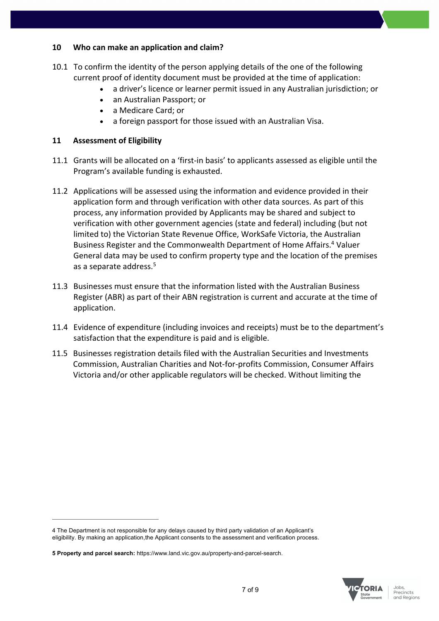#### **10 Who can make an application and claim?**

- 10.1 To confirm the identity of the person applying details of the one of the following current proof of identity document must be provided at the time of application:
	- a driver's licence or learner permit issued in any Australian jurisdiction; or
	- an Australian Passport; or
	- a Medicare Card; or
	- a foreign passport for those issued with an Australian Visa.

#### **11 Assessment of Eligibility**

- 11.1 Grants will be allocated on a 'first-in basis' to applicants assessed as eligible until the Program's available funding is exhausted.
- 11.2 Applications will be assessed using the information and evidence provided in their application form and through verification with other data sources. As part of this process, any information provided by Applicants may be shared and subject to verification with other government agencies (state and federal) including (but not limited to) the Victorian State Revenue Office, WorkSafe Victoria, the Australian Business Register and the Commonwealth Department of Home Affairs.<sup>4</sup> Valuer General data may be used to confirm property type and the location of the premises as a separate address. 5
- 11.3 Businesses must ensure that the information listed with the Australian Business Register (ABR) as part of their ABN registration is current and accurate at the time of application.
- 11.4 Evidence of expenditure (including invoices and receipts) must be to the department's satisfaction that the expenditure is paid and is eligible.
- 11.5 Businesses registration details filed with the Australian Securities and Investments Commission, Australian Charities and Not-for-profits Commission, Consumer Affairs Victoria and/or other applicable regulators will be checked. Without limiting the



<sup>4</sup> The Department is not responsible for any delays caused by third party validation of an Applicant's eligibility. By making an application,the Applicant consents to the assessment and verification process.

**<sup>5</sup> Property and parcel search:** https://www.land.vic.gov.au/property-and-parcel-search.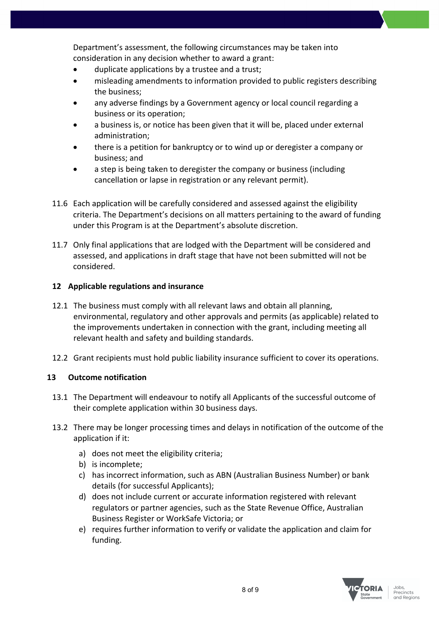Department's assessment, the following circumstances may be taken into consideration in any decision whether to award a grant:

- duplicate applications by a trustee and a trust;
- misleading amendments to information provided to public registers describing the business;
- any adverse findings by a Government agency or local council regarding a business or its operation;
- a business is, or notice has been given that it will be, placed under external administration;
- there is a petition for bankruptcy or to wind up or deregister a company or business; and
- a step is being taken to deregister the company or business (including cancellation or lapse in registration or any relevant permit).
- 11.6 Each application will be carefully considered and assessed against the eligibility criteria. The Department's decisions on all matters pertaining to the award of funding under this Program is at the Department's absolute discretion.
- 11.7 Only final applications that are lodged with the Department will be considered and assessed, and applications in draft stage that have not been submitted will not be considered.

# **12 Applicable regulations and insurance**

- 12.1 The business must comply with all relevant laws and obtain all planning, environmental, regulatory and other approvals and permits (as applicable) related to the improvements undertaken in connection with the grant, including meeting all relevant health and safety and building standards.
- 12.2 Grant recipients must hold public liability insurance sufficient to cover its operations.

# **13 Outcome notification**

- 13.1 The Department will endeavour to notify all Applicants of the successful outcome of their complete application within 30 business days.
- 13.2 There may be longer processing times and delays in notification of the outcome of the application if it:
	- a) does not meet the eligibility criteria;
	- b) is incomplete;
	- c) has incorrect information, such as ABN (Australian Business Number) or bank details (for successful Applicants);
	- d) does not include current or accurate information registered with relevant regulators or partner agencies, such as the State Revenue Office, Australian Business Register or WorkSafe Victoria; or
	- e) requires further information to verify or validate the application and claim for funding.